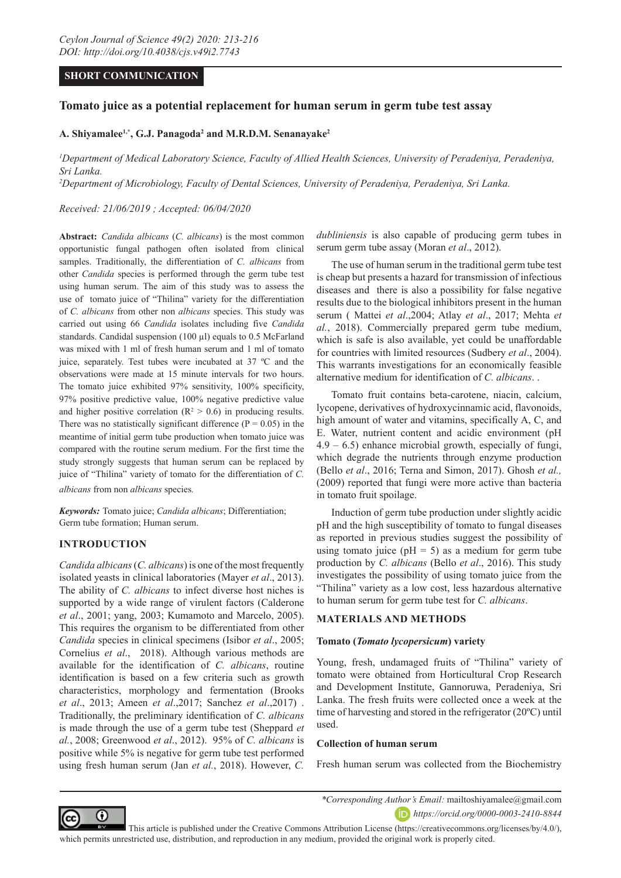## **SHORT COMMUNICATION**

# **Tomato juice as a potential replacement for human serum in germ tube test assay**

## **A. Shiyamalee1,\*, G.J. Panagoda2 and M.R.D.M. Senanayake2**

<sup>1</sup>Department of Medical Laboratory Science, Faculty of Allied Health Sciences, University of Peradeniya, Peradeniya, *Sri Lanka.*

*2 Department of Microbiology, Faculty of Dental Sciences, University of Peradeniya, Peradeniya, Sri Lanka.*

*Received: 21/06/2019 ; Accepted: 06/04/2020*

**Abstract:** *Candida albicans* (*C. albicans*) is the most common opportunistic fungal pathogen often isolated from clinical samples. Traditionally, the differentiation of *C. albicans* from other *Candida* species is performed through the germ tube test using human serum. The aim of this study was to assess the use of tomato juice of "Thilina" variety for the differentiation of *C. albicans* from other non *albicans* species. This study was carried out using 66 *Candida* isolates including five *Candida*  standards. Candidal suspension (100 µl) equals to 0.5 McFarland was mixed with 1 ml of fresh human serum and 1 ml of tomato juice, separately. Test tubes were incubated at 37 ºC and the observations were made at 15 minute intervals for two hours. The tomato juice exhibited 97% sensitivity, 100% specificity, 97% positive predictive value, 100% negative predictive value and higher positive correlation ( $\mathbb{R}^2 > 0.6$ ) in producing results. There was no statistically significant difference  $(P = 0.05)$  in the meantime of initial germ tube production when tomato juice was compared with the routine serum medium. For the first time the study strongly suggests that human serum can be replaced by juice of "Thilina" variety of tomato for the differentiation of *C. albicans* from non *albicans* species*.*

*Keywords:* Tomato juice; *Candida albicans*; Differentiation; Germ tube formation; Human serum.

### **INTRODUCTION**

*Candida albicans* (*C. albicans*) is one of the most frequently isolated yeasts in clinical laboratories (Mayer *et al*., 2013). The ability of *C. albicans* to infect diverse host niches is supported by a wide range of virulent factors (Calderone *et al*., 2001; yang, 2003; Kumamoto and Marcelo, 2005). This requires the organism to be differentiated from other *Candida* species in clinical specimens (Isibor *et al*., 2005; Cornelius *et al*., 2018). Although various methods are available for the identification of *C. albicans*, routine identification is based on a few criteria such as growth characteristics, morphology and fermentation (Brooks *et al*., 2013; Ameen *et al*.,2017; Sanchez *et al*.,2017) . Traditionally, the preliminary identification of *C. albicans*  is made through the use of a germ tube test (Sheppard *et al.*, 2008; Greenwood *et al*., 2012). 95% of *C. albicans* is positive while 5% is negative for germ tube test performed using fresh human serum (Jan *et al.*, 2018). However, *C.* 

*dubliniensis* is also capable of producing germ tubes in serum germ tube assay (Moran *et al*., 2012).

The use of human serum in the traditional germ tube test is cheap but presents a hazard for transmission of infectious diseases and there is also a possibility for false negative results due to the biological inhibitors present in the human serum ( Mattei *et al*.,2004; Atlay *et al*., 2017; Mehta *et al.*, 2018). Commercially prepared germ tube medium, which is safe is also available, yet could be unaffordable for countries with limited resources (Sudbery *et al*., 2004). This warrants investigations for an economically feasible alternative medium for identification of *C. albicans*. .

Tomato fruit contains beta-carotene, niacin, calcium, lycopene, derivatives of hydroxycinnamic acid, flavonoids, high amount of water and vitamins, specifically A, C, and E. Water, nutrient content and acidic environment (pH  $4.9 - 6.5$ ) enhance microbial growth, especially of fungi, which degrade the nutrients through enzyme production (Bello *et al*., 2016; Terna and Simon, 2017). Ghosh *et al.,* (2009) reported that fungi were more active than bacteria in tomato fruit spoilage.

Induction of germ tube production under slightly acidic pH and the high susceptibility of tomato to fungal diseases as reported in previous studies suggest the possibility of using tomato juice ( $pH = 5$ ) as a medium for germ tube production by *C. albicans* (Bello *et al*., 2016). This study investigates the possibility of using tomato juice from the "Thilina" variety as a low cost, less hazardous alternative to human serum for germ tube test for *C. albicans*.

#### **MATERIALS AND METHODS**

### **Tomato (***Tomato lycopersicum***) variety**

Young, fresh, undamaged fruits of "Thilina" variety of tomato were obtained from Horticultural Crop Research and Development Institute, Gannoruwa, Peradeniya, Sri Lanka. The fresh fruits were collected once a week at the time of harvesting and stored in the refrigerator (20ºC) until used.

#### **Collection of human serum**

Fresh human serum was collected from the Biochemistry



*\*Corresponding Author's Email:* mailtoshiyamalee@gmail.com *https://orcid.org/0000-0003-2410-8844*

 This article is published under the Creative Commons Attribution License (https://creativecommons.org/licenses/by/4.0/), which permits unrestricted use, distribution, and reproduction in any medium, provided the original work is properly cited.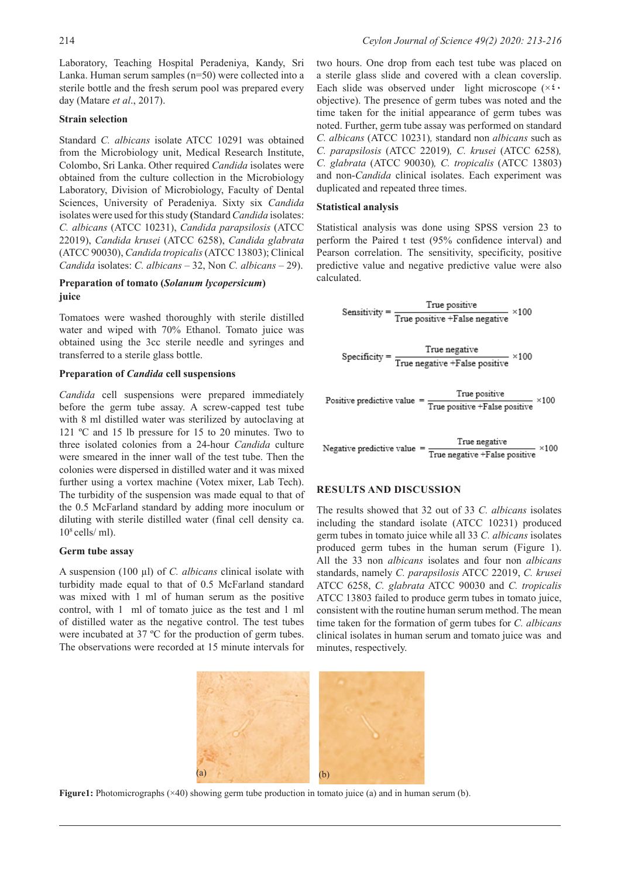Laboratory, Teaching Hospital Peradeniya, Kandy, Sri Lanka. Human serum samples (n=50) were collected into a sterile bottle and the fresh serum pool was prepared every day (Matare *et al*., 2017).

# **Strain selection**

Standard *C. albicans* isolate ATCC 10291 was obtained from the Microbiology unit, Medical Research Institute, Colombo, Sri Lanka. Other required *Candida* isolates were obtained from the culture collection in the Microbiology Laboratory, Division of Microbiology, Faculty of Dental Sciences, University of Peradeniya. Sixty six *Candida*  isolates were used for this study **(**Standard *Candida* isolates: *C. albicans* (ATCC 10231), *Candida parapsilosis* (ATCC 22019), *Candida krusei* (ATCC 6258), *Candida glabrata* (ATCC 90030), *Candida tropicalis* (ATCC 13803); Clinical *Candida* isolates: *C. albicans* – 32, Non *C. albicans –* 29).

## **Preparation of tomato (***Solanum lycopersicum***) juice**

Tomatoes were washed thoroughly with sterile distilled water and wiped with 70% Ethanol. Tomato juice was obtained using the 3cc sterile needle and syringes and transferred to a sterile glass bottle.

## **Preparation of** *Candida* **cell suspensions**

*Candida* cell suspensions were prepared immediately before the germ tube assay. A screw-capped test tube with 8 ml distilled water was sterilized by autoclaving at 121 ºC and 15 lb pressure for 15 to 20 minutes. Two to three isolated colonies from a 24-hour *Candida* culture were smeared in the inner wall of the test tube. Then the colonies were dispersed in distilled water and it was mixed further using a vortex machine (Votex mixer, Lab Tech). The turbidity of the suspension was made equal to that of the 0.5 McFarland standard by adding more inoculum or diluting with sterile distilled water (final cell density ca.  $10<sup>8</sup>$  cells/ ml).

### **Germ tube assay**

A suspension (100 µl) of *C. albicans* clinical isolate with turbidity made equal to that of 0.5 McFarland standard was mixed with 1 ml of human serum as the positive control, with 1 ml of tomato juice as the test and 1 ml of distilled water as the negative control. The test tubes were incubated at 37 ºC for the production of germ tubes. The observations were recorded at 15 minute intervals for

two hours. One drop from each test tube was placed on a sterile glass slide and covered with a clean coverslip. Each slide was observed under light microscope  $(x^2)$ objective). The presence of germ tubes was noted and the time taken for the initial appearance of germ tubes was noted. Further, germ tube assay was performed on standard *C. albicans* (ATCC 10231)*,* standard non *albicans* such as *C. parapsilosis* (ATCC 22019)*, C. krusei* (ATCC 6258)*, C. glabrata* (ATCC 90030)*, C. tropicalis* (ATCC 13803) and non-*Candida* clinical isolates. Each experiment was duplicated and repeated three times.

### **Statistical analysis**

Statistical analysis was done using SPSS version 23 to perform the Paired t test (95% confidence interval) and Pearson correlation. The sensitivity, specificity, positive predictive value and negative predictive value were also calculated.

Sensitivity = 
$$
\frac{\text{True positive}}{\text{True positive} + \text{False negative}} \times 100
$$
  
Specificity = 
$$
\frac{\text{True negative}}{\text{True negative} + \text{False positive}} \times 100
$$

True positive Positive predictive value  $×100$ True positive +False positive

True negative  $×100$ Negative predictive value True negative +False positive

# **RESULTS AND DISCUSSION**

The results showed that 32 out of 33 *C. albicans* isolates including the standard isolate (ATCC 10231) produced germ tubes in tomato juice while all 33 *C. albicans* isolates produced germ tubes in the human serum (Figure 1). All the 33 non *albicans* isolates and four non *albicans* standards, namely *C. parapsilosis* ATCC 22019, *C. krusei* ATCC 6258, *C. glabrata* ATCC 90030 and *C. tropicalis* ATCC 13803 failed to produce germ tubes in tomato juice, consistent with the routine human serum method. The mean time taken for the formation of germ tubes for *C. albicans* clinical isolates in human serum and tomato juice was and minutes, respectively.



**Figure1:** Photomicrographs ( $\times$ 40) showing germ tube production in tomato juice (a) and in human serum (b).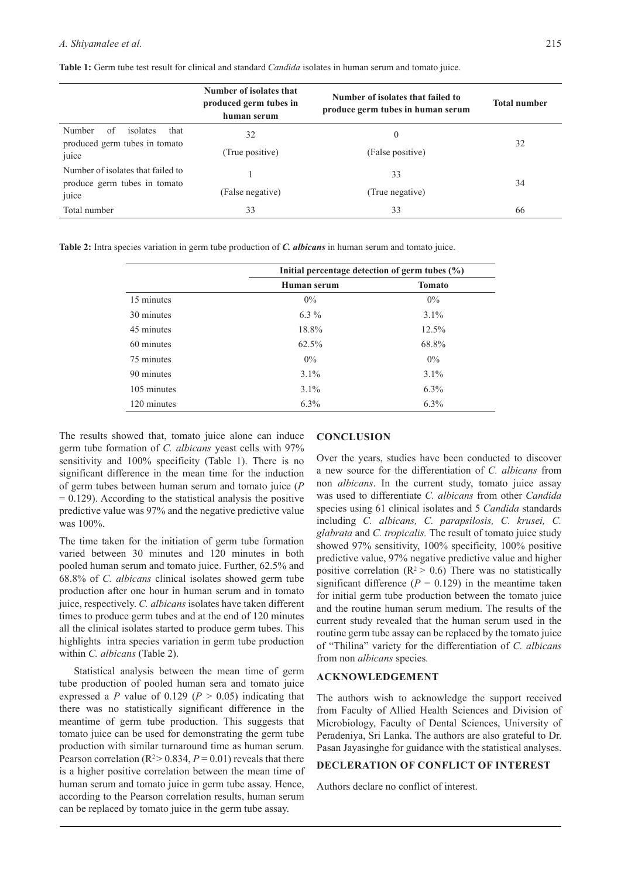#### *A. Shiyamalee et al.* 215

|                                                                   | Number of isolates that<br>produced germ tubes in<br>human serum | Number of isolates that failed to<br>produce germ tubes in human serum | <b>Total number</b> |  |
|-------------------------------------------------------------------|------------------------------------------------------------------|------------------------------------------------------------------------|---------------------|--|
| Number<br>of<br>isolates<br>that<br>produced germ tubes in tomato | 32                                                               | $\overline{0}$                                                         | 32                  |  |
| juice                                                             | (True positive)                                                  | (False positive)                                                       |                     |  |
| Number of isolates that failed to                                 |                                                                  | 33                                                                     | 34                  |  |
| produce germ tubes in tomato<br>juice                             | (False negative)                                                 | (True negative)                                                        |                     |  |
| Total number                                                      | 33                                                               | 33                                                                     | 66                  |  |

**Table 1:** Germ tube test result for clinical and standard *Candida* isolates in human serum and tomato juice.

**Table 2:** Intra species variation in germ tube production of *C. albicans* in human serum and tomato juice.

|             | Initial percentage detection of germ tubes $(\% )$ |               |
|-------------|----------------------------------------------------|---------------|
|             | Human serum                                        | <b>Tomato</b> |
| 15 minutes  | $0\%$                                              | $0\%$         |
| 30 minutes  | $6.3\%$                                            | $3.1\%$       |
| 45 minutes  | 18.8%                                              | 12.5%         |
| 60 minutes  | 62.5%                                              | 68.8%         |
| 75 minutes  | $0\%$                                              | $0\%$         |
| 90 minutes  | $3.1\%$                                            | $3.1\%$       |
| 105 minutes | $3.1\%$                                            | $6.3\%$       |
| 120 minutes | $6.3\%$                                            | $6.3\%$       |

The results showed that, tomato juice alone can induce germ tube formation of *C. albicans* yeast cells with 97% sensitivity and 100% specificity (Table 1). There is no significant difference in the mean time for the induction of germ tubes between human serum and tomato juice (*P*  $= 0.129$ ). According to the statistical analysis the positive predictive value was 97% and the negative predictive value was 100%.

The time taken for the initiation of germ tube formation varied between 30 minutes and 120 minutes in both pooled human serum and tomato juice. Further, 62.5% and 68.8% of *C. albicans* clinical isolates showed germ tube production after one hour in human serum and in tomato juice, respectively. *C. albicans* isolates have taken different times to produce germ tubes and at the end of 120 minutes all the clinical isolates started to produce germ tubes. This highlights intra species variation in germ tube production within *C. albicans* (Table 2).

Statistical analysis between the mean time of germ tube production of pooled human sera and tomato juice expressed a *P* value of 0.129 ( $P > 0.05$ ) indicating that there was no statistically significant difference in the meantime of germ tube production. This suggests that tomato juice can be used for demonstrating the germ tube production with similar turnaround time as human serum. Pearson correlation ( $R^2 > 0.834$ ,  $P = 0.01$ ) reveals that there is a higher positive correlation between the mean time of human serum and tomato juice in germ tube assay. Hence, according to the Pearson correlation results, human serum can be replaced by tomato juice in the germ tube assay.

#### **CONCLUSION**

Over the years, studies have been conducted to discover a new source for the differentiation of *C. albicans* from non *albicans*. In the current study, tomato juice assay was used to differentiate *C. albicans* from other *Candida* species using 61 clinical isolates and 5 *Candida* standards including *C. albicans, C. parapsilosis, C. krusei, C. glabrata* and *C. tropicalis.* The result of tomato juice study showed 97% sensitivity, 100% specificity, 100% positive predictive value, 97% negative predictive value and higher positive correlation ( $R^2$  > 0.6) There was no statistically significant difference  $(P = 0.129)$  in the meantime taken for initial germ tube production between the tomato juice and the routine human serum medium. The results of the current study revealed that the human serum used in the routine germ tube assay can be replaced by the tomato juice of "Thilina" variety for the differentiation of *C. albicans* from non *albicans* species*.*

#### **ACKNOWLEDGEMENT**

The authors wish to acknowledge the support received from Faculty of Allied Health Sciences and Division of Microbiology, Faculty of Dental Sciences, University of Peradeniya, Sri Lanka. The authors are also grateful to Dr. Pasan Jayasinghe for guidance with the statistical analyses.

# **DECLERATION OF CONFLICT OF INTEREST**

Authors declare no conflict of interest.